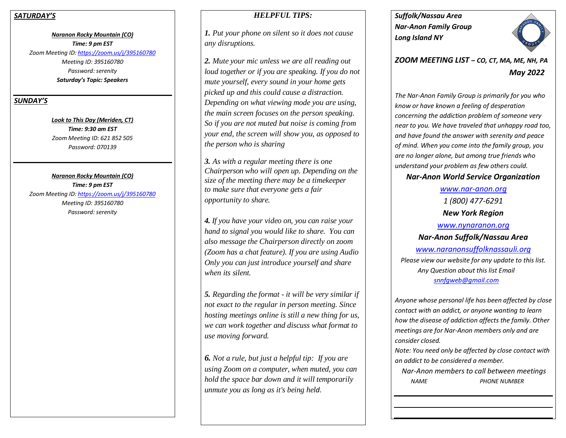## *SATURDAY'S*

*Naranon Rocky Mountain (CO) Time: 9 pm EST Zoom Meeting ID[: https://zoom.us/j/395160780](https://zoom.us/j/395160780) Meeting ID: 395160780 Password: serenity Saturday's Topic: Speakers*

## *SUNDAY'S*

*Look to This Day (Meriden, CT) Time: 9:30 am EST Zoom Meeting ID: 621 852 505 Password: 070139*

*Naranon Rocky Mountain (CO) Time: 9 pm EST Zoom Meeting ID[: https://zoom.us/j/395160780](https://zoom.us/j/395160780) Meeting ID: 395160780 Password: serenity*

# *HELPFUL TIPS:*

*1. Put your phone on silent so it does not cause any disruptions.*

*2. Mute your mic unless we are all reading out loud together or if you are speaking. If you do not mute yourself, every sound in your home gets picked up and this could cause a distraction. Depending on what viewing mode you are using, the main screen focuses on the person speaking. So if you are not muted but noise is coming from your end, the screen will show you, as opposed to the person who is sharing*

*3. As with a regular meeting there is one Chairperson who will open up. Depending on the size of the meeting there may be a timekeeper to make sure that everyone gets a fair opportunity to share.*

*4. If you have your video on, you can raise your hand to signal you would like to share. You can also message the Chairperson directly on zoom (Zoom has a chat feature). If you are using Audio Only you can just introduce yourself and share when its silent.* 

*5. Regarding the format - it will be very similar if not exact to the regular in person meeting. Since hosting meetings online is still a new thing for us, we can work together and discuss what format to use moving forward.*

*6. Not a rule, but just a helpful tip: If you are using Zoom on a computer, when muted, you can hold the space bar down and it will temporarily unmute you as long as it's being held.* 

*Suffolk/Nassau Area Nar-Anon Family Group Long Island NY* 



*ZOOM MEETING LIST – CO, CT, MA, ME, NH, PA May 2022*

*The Nar-Anon Family Group is primarily for you who know or have known a feeling of desperation concerning the addiction problem of someone very near to you. We have traveled that unhappy road too, and have found the answer with serenity and peace of mind. When you come into the family group, you are no longer alone, but among true friends who understand your problem as few others could.* 

# *Nar-Anon World Service Organization*

*[www.nar-anon.org](http://www.nar-anon.org/) 1 (800) 477-6291 New York Region [www.nynaranon.org](http://www.nynaranon.org/) Nar-Anon Suffolk/Nassau Area [www.naranonsuffolknassauli.org](http://www.naranonsuffolknassauli.org/)*

*Please view our website for any update to this list. Any Question about this list Email [snnfgweb@gmail.com](mailto:snnfgweb@gmail.com)*

*Anyone whose personal life has been affected by close contact with an addict, or anyone wanting to learn how the disease of addiction affects the family. Other meetings are for Nar-Anon members only and are consider closed.*

*Note: You need only be affected by close contact with an addict to be considered a member.*

 *Nar-Anon members to call between meetings NAME PHONE NUMBER*